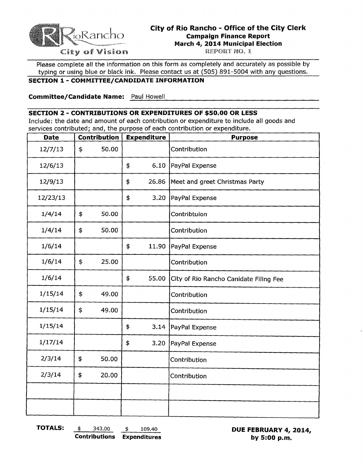

## **City of Rio Rancho - Office of the City Clerk Campaign Finance Report March 4, 2014 Municipal Election**

City of Vision

Please complete all the information on this form as completely and accurately as possible by typing or using blue or black ink. Please contact us at (505) 891-5004 with any questions.

#### **SECTION 1 - COMMITTEE/CANDIDATE INFORMATION**

<u>Paul Howell</u> **Committee/Candidate Name:** Paul Howell

#### **SECTION 2 - CONTRIBUTIONS OR EXPENDITURES OF \$50.00 OR LESS**

Include: the date and amount of each contribution or expenditure to include all goods and services contributed; and, the purpose of each contribution or expenditure.

| <b>Date</b> | Contribution | <b>Expenditure</b> |                                         | <b>Purpose</b>                         |  |
|-------------|--------------|--------------------|-----------------------------------------|----------------------------------------|--|
| 12/7/13     | \$<br>50.00  |                    |                                         | Contribution                           |  |
| 12/6/13     |              | \$                 | 6.10                                    | PayPal Expense                         |  |
| 12/9/13     |              | \$                 | 26.86<br>Meet and greet Christmas Party |                                        |  |
| 12/23/13    |              | \$                 | 3.20                                    | PayPal Expense                         |  |
| 1/4/14      | \$<br>50.00  |                    |                                         | Contribtuion                           |  |
| 1/4/14      | \$<br>50.00  |                    |                                         | Contribution                           |  |
| 1/6/14      |              | \$                 | 11.90                                   | PayPal Expense                         |  |
| 1/6/14      | \$<br>25.00  |                    |                                         | Contribution                           |  |
| 1/6/14      |              | \$                 | 55.00                                   | City of Rio Rancho Canidate Filing Fee |  |
| 1/15/14     | \$<br>49.00  |                    |                                         | Contribution                           |  |
| 1/15/14     | \$<br>49.00  |                    |                                         | Contribution                           |  |
| 1/15/14     |              | \$                 | 3.14                                    | PayPal Expense                         |  |
| 1/17/14     |              | \$                 | 3.20                                    | PayPal Expense                         |  |
| 2/3/14      | \$<br>50.00  |                    |                                         | Contribution                           |  |
| 2/3/14      | \$<br>20.00  |                    |                                         | Contribution                           |  |
|             |              |                    |                                         |                                        |  |
|             |              |                    |                                         |                                        |  |

**Contributions Expenditures by 5:00 p.m.** 

**TOTALS:**  $\frac{\$}{2}$  343.00  $\frac{\$}{2}$  109.40 **DUE FEBRUARY 4, 2014, Contributions Expenditures by 5:00 p.m.**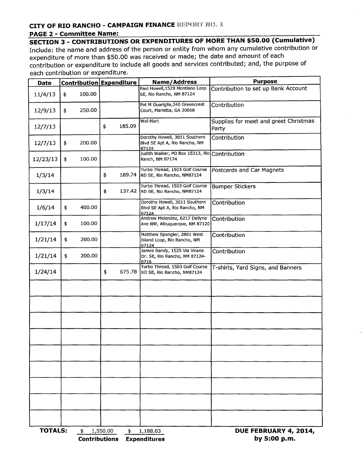### **CITY OF RIO RANCHO - CAMPAIGN FINANCE REPORT NO. 1**

#### **PAGE 2 - Committee Name:**

**SECTION 3 - CONTRIBUTIONS OR EXPENDITURES OF MORE THAN \$50.00 (Cumulative)**  Include: the name and address of the person or entity from whom any cumulative contribution or expenditure of more than \$50.00 was received or made; the date and amount of each contribution or expenditure to include all goods and services contributed; and, the purpose of each contribution or expenditure.

| <b>Date</b>          |    |                      | Contribution Expenditure |        | Name/Address                                                            | <b>Purpose</b>                                 |  |  |
|----------------------|----|----------------------|--------------------------|--------|-------------------------------------------------------------------------|------------------------------------------------|--|--|
| 11/4/13              | \$ | 100.00               |                          |        | Paul Howell, 1529 Montiano Loop<br>SE, Rio Rancho, NM 87124             | Contribution to set up Bank Account            |  |  |
| 12/9/13              | \$ | 250.00               |                          |        | Pat M Guariglia, 240 Greencrest<br>Court, Marietta, GA 30068            | Contribution                                   |  |  |
| 12/7/13              |    |                      | \$                       | 185.09 | Wal-Mart                                                                | Supplies for meet and greet Christmas<br>Party |  |  |
| 12/7/13              | \$ | 200.00               |                          |        | Dorothy Howell, 3011 Southern<br>Blvd SE Apt A, Rio Rancho, NM<br>87124 | Contribution                                   |  |  |
| 12/23/13             | \$ | 100.00               |                          |        | Judith Walker, PO Box 15313, Rio<br>Ranch, NM 87174                     | Contribution                                   |  |  |
| 1/3/14               |    |                      | \$                       | 189.74 | Turbo Thread, 1503 Golf Course<br>RD SE, Rio Rancho, NM87124            | Postcards and Car Magnets                      |  |  |
| 1/3/14               |    |                      | \$                       |        | Turbo Thread, 1503 Golf Course<br>137.42 RD SE, Rio Rancho, NM87124     | <b>Bumper Stickers</b>                         |  |  |
| 1/6/14               | \$ | 400.00               |                          |        | Dorothy Howell, 3011 Southern<br>Blvd SE Apt A, Rio Rancho, NM<br>87124 | Contribution                                   |  |  |
| 1/17/14              | \$ | 100.00               |                          |        | Andrew Melendez, 6217 Dellyne<br>Ave NW, Albuquerque, NM 87120          | Contribution                                   |  |  |
| 1/21/14              | \$ | 200.00               |                          |        | Matthew Spangler, 2881 West<br>Island Loop, Rio Rancho, NM<br>87124     | Contribution                                   |  |  |
| 1/21/14              | \$ | 200.00               |                          |        | James Bandy, 1525 Via Virane<br>Dr. SE, Rio Rancho, NM 87124-<br>8716   | Contribution                                   |  |  |
| 1/24/14              |    |                      | \$                       | 675.78 | Turbo Thread, 1503 Golf Course<br>RD SE, Rio Rancho, NM87124            | T-shirts, Yard Signs, and Banners              |  |  |
|                      |    |                      |                          |        |                                                                         |                                                |  |  |
|                      |    |                      |                          |        |                                                                         |                                                |  |  |
|                      |    |                      |                          |        |                                                                         |                                                |  |  |
|                      |    |                      |                          |        |                                                                         |                                                |  |  |
|                      |    |                      |                          |        |                                                                         |                                                |  |  |
|                      |    |                      |                          |        |                                                                         |                                                |  |  |
|                      |    |                      |                          |        |                                                                         |                                                |  |  |
|                      |    |                      |                          |        |                                                                         |                                                |  |  |
|                      |    |                      |                          |        |                                                                         |                                                |  |  |
| <b>TOTALS:</b><br>\$ |    | <b>Contributions</b> | 1,550.00                 | \$     | 1,188.03<br><b>Expenditures</b>                                         | DUE FEBRUARY 4, 2014,<br>by 5:00 p.m.          |  |  |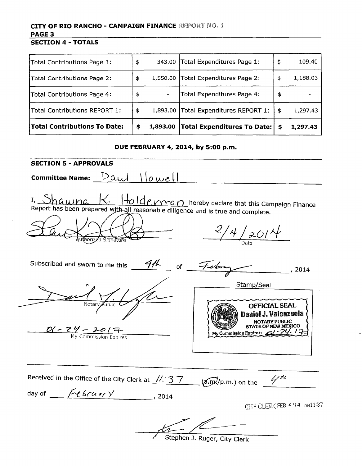#### **CITY OF RIO RANCHO - CAMPAIGN FINANCE REPORT NO. 1 PAGE 3 SECTION 4 - TOTALS**

| <b>Total Contributions To Date:</b> | \$<br>1,893.00 | <b>Total Expenditures To Date:</b> | \$<br>1,297.43 |
|-------------------------------------|----------------|------------------------------------|----------------|
| Total Contributions REPORT 1:       | \$<br>1,893.00 | Total Expenditures REPORT 1:       | \$<br>1,297.43 |
| Total Contributions Page 4:         | \$             | Total Expenditures Page 4:         | \$             |
| Total Contributions Page 2:         | \$<br>1,550.00 | Total Expenditures Page 2:         | \$<br>1,188.03 |
| Total Contributions Page 1:         | \$             | 343.00 Total Expenditures Page 1:  | \$<br>109.40   |

#### **DUE FEBRUARY 4, 2014, by 5:00 p.m.**

**SECTION 5 - APPROVALS**   ${\sf committee \, Name:} \begin{tabular}{|l|l|} \hline \textbf{Count} & \textbf{H} & \textbf{H} \\ \hline \end{tabular}$ I, Shawna K. Holde vman hereby declare that this Campaign Finance Report has been prepared with all reasonable diligence and is true and complete.  $2/4/2014$ orizzd Signamic Subscribed and sworn to me this  $\frac{9h}{\sqrt{6}}$  of  $\frac{7.66m}{\sqrt{2}}$ , 2014 Stamp/Seal OFFICIAL SEAL Daniel J. Valenzuela NOTARY PUBLIC STATEOF NEW MEXICO  $\frac{D(1 - 24 - 201)}{My \text{ Commission:} Fx \text{ prires}}$  My Commission Expires:  $\frac{D(1 - 24)}{My \text{ Commission:}}$ Received in the Office of the City Clerk at  $\frac{1!}{3!}$   $\frac{3!}{2!}$   $\frac{2!}{(a\cdot m)!}$  p.m.) on the ..... day of \_\_*I':t--'f=--b:..-.r\_U\_()(..:..../....,:y\_\_\_\_\_, 2014*  CITY CLERK FEB 4 '14 AM11:37

Stephen J. Ruger, City Clerk